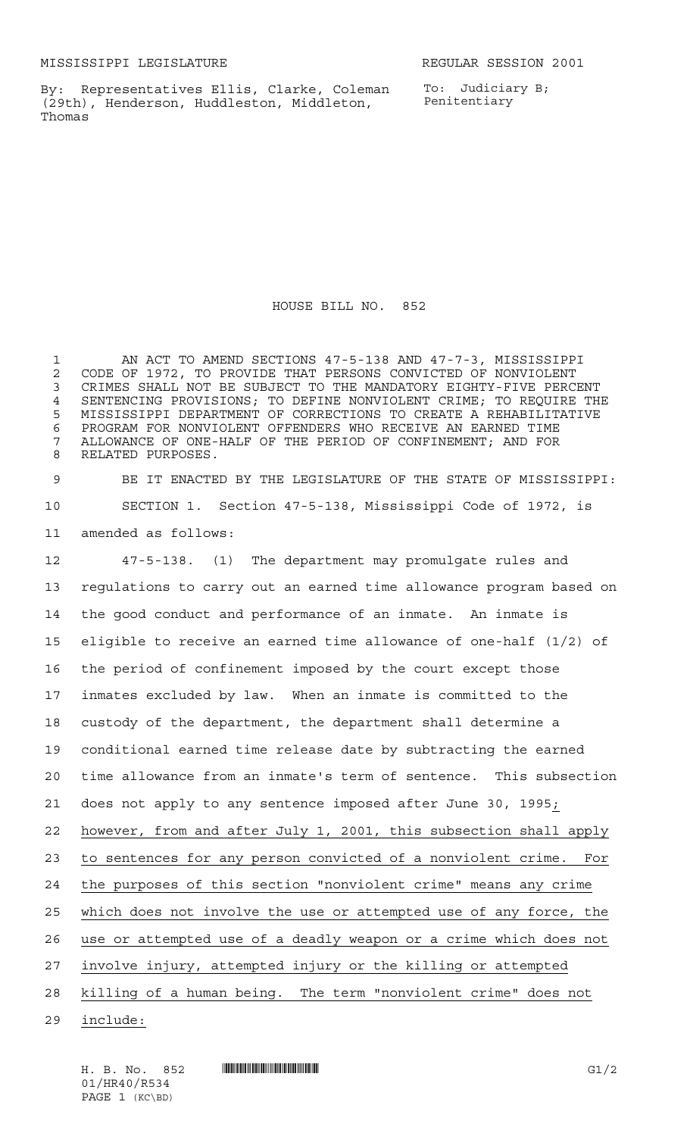By: Representatives Ellis, Clarke, Coleman (29th), Henderson, Huddleston, Middleton, Thomas

To: Judiciary B; Penitentiary

HOUSE BILL NO. 852

 AN ACT TO AMEND SECTIONS 47-5-138 AND 47-7-3, MISSISSIPPI 2 CODE OF 1972, TO PROVIDE THAT PERSONS CONVICTED OF NONVIOLENT<br>3 CRIMES SHALL NOT BE SUBJECT TO THE MANDATORY EIGHTY-FIVE PERCI CRIMES SHALL NOT BE SUBJECT TO THE MANDATORY EIGHTY-FIVE PERCENT SENTENCING PROVISIONS; TO DEFINE NONVIOLENT CRIME; TO REQUIRE THE MISSISSIPPI DEPARTMENT OF CORRECTIONS TO CREATE A REHABILITATIVE PROGRAM FOR NONVIOLENT OFFENDERS WHO RECEIVE AN EARNED TIME ALLOWANCE OF ONE-HALF OF THE PERIOD OF CONFINEMENT; AND FOR RELATED PURPOSES.

 BE IT ENACTED BY THE LEGISLATURE OF THE STATE OF MISSISSIPPI: SECTION 1. Section 47-5-138, Mississippi Code of 1972, is amended as follows:

 47-5-138. (1) The department may promulgate rules and regulations to carry out an earned time allowance program based on the good conduct and performance of an inmate. An inmate is eligible to receive an earned time allowance of one-half (1/2) of the period of confinement imposed by the court except those inmates excluded by law. When an inmate is committed to the custody of the department, the department shall determine a conditional earned time release date by subtracting the earned time allowance from an inmate's term of sentence. This subsection does not apply to any sentence imposed after June 30, 1995; however, from and after July 1, 2001, this subsection shall apply to sentences for any person convicted of a nonviolent crime. For the purposes of this section "nonviolent crime" means any crime which does not involve the use or attempted use of any force, the use or attempted use of a deadly weapon or a crime which does not involve injury, attempted injury or the killing or attempted killing of a human being. The term "nonviolent crime" does not

include:

01/HR40/R534 PAGE 1 (KC\BD)

H. B. No. 852 **HR40/R541 EXECUTE EXECUTE EXECUTE EXECUTE EXECUTE EXECUTE EXECUTE EXECUTE EXECUTE EXECUTE EXECU**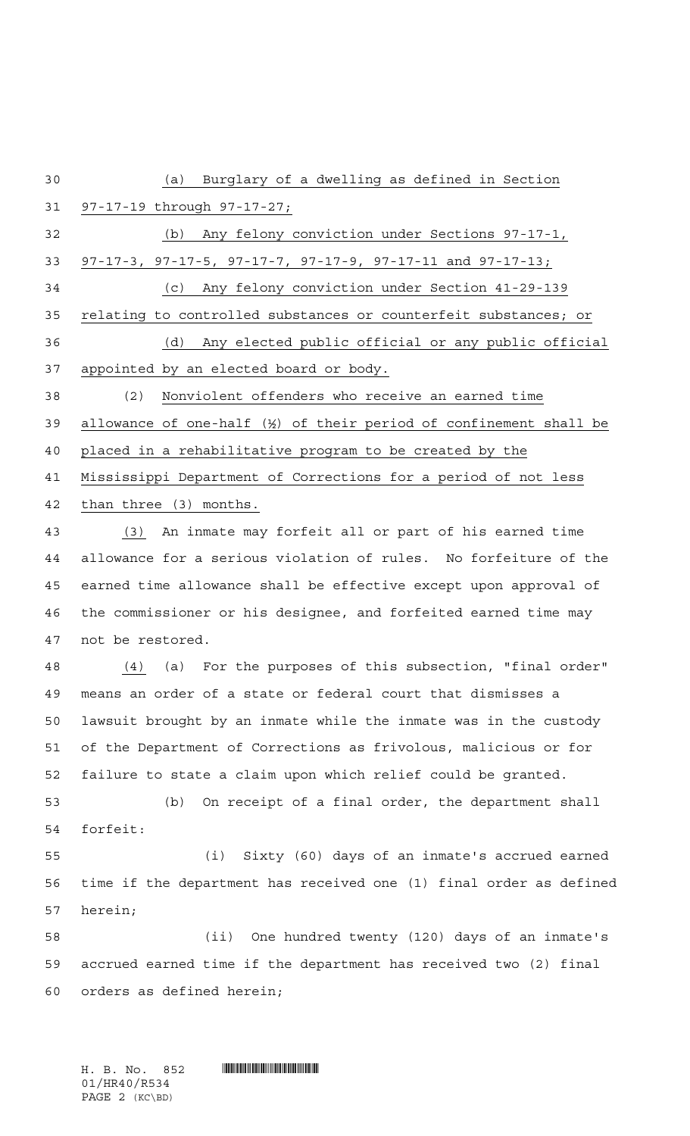(a) Burglary of a dwelling as defined in Section 97-17-19 through 97-17-27; (b) Any felony conviction under Sections 97-17-1, 97-17-3, 97-17-5, 97-17-7, 97-17-9, 97-17-11 and 97-17-13; (c) Any felony conviction under Section 41-29-139 relating to controlled substances or counterfeit substances; or (d) Any elected public official or any public official appointed by an elected board or body. (2) Nonviolent offenders who receive an earned time allowance of one-half (½) of their period of confinement shall be placed in a rehabilitative program to be created by the Mississippi Department of Corrections for a period of not less than three (3) months. (3) An inmate may forfeit all or part of his earned time allowance for a serious violation of rules. No forfeiture of the earned time allowance shall be effective except upon approval of the commissioner or his designee, and forfeited earned time may not be restored. (4) (a) For the purposes of this subsection, "final order" means an order of a state or federal court that dismisses a lawsuit brought by an inmate while the inmate was in the custody of the Department of Corrections as frivolous, malicious or for failure to state a claim upon which relief could be granted. (b) On receipt of a final order, the department shall forfeit: (i) Sixty (60) days of an inmate's accrued earned time if the department has received one (1) final order as defined herein; (ii) One hundred twenty (120) days of an inmate's accrued earned time if the department has received two (2) final orders as defined herein;

01/HR40/R534 PAGE 2 (KC\BD)

H. B. No. 852 **... And Allis A. B. No. 852**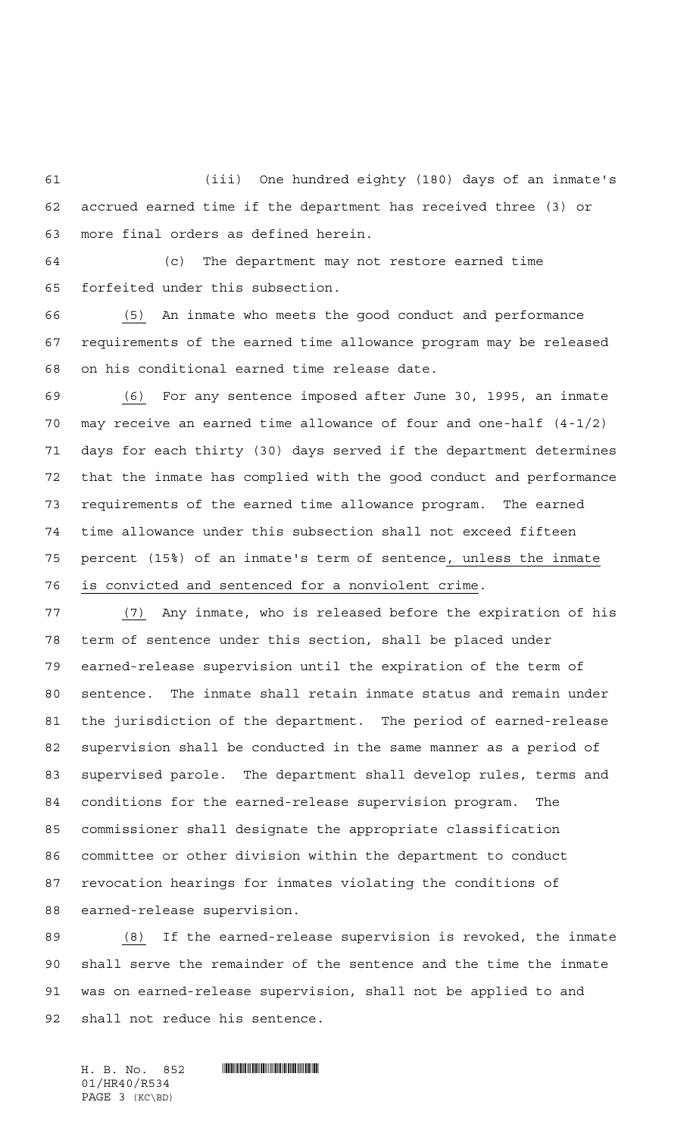(iii) One hundred eighty (180) days of an inmate's accrued earned time if the department has received three (3) or more final orders as defined herein.

 (c) The department may not restore earned time forfeited under this subsection.

 (5) An inmate who meets the good conduct and performance requirements of the earned time allowance program may be released on his conditional earned time release date.

 (6) For any sentence imposed after June 30, 1995, an inmate may receive an earned time allowance of four and one-half (4-1/2) days for each thirty (30) days served if the department determines that the inmate has complied with the good conduct and performance requirements of the earned time allowance program. The earned time allowance under this subsection shall not exceed fifteen percent (15%) of an inmate's term of sentence, unless the inmate is convicted and sentenced for a nonviolent crime.

 (7) Any inmate, who is released before the expiration of his term of sentence under this section, shall be placed under earned-release supervision until the expiration of the term of sentence. The inmate shall retain inmate status and remain under the jurisdiction of the department. The period of earned-release supervision shall be conducted in the same manner as a period of supervised parole. The department shall develop rules, terms and conditions for the earned-release supervision program. The commissioner shall designate the appropriate classification committee or other division within the department to conduct revocation hearings for inmates violating the conditions of earned-release supervision.

 (8) If the earned-release supervision is revoked, the inmate shall serve the remainder of the sentence and the time the inmate was on earned-release supervision, shall not be applied to and shall not reduce his sentence.

01/HR40/R534 PAGE 3 (KC\BD)

 $H. B. No. 852$  . HIRAO HALLANDIN MILLET IN THE SET OF SET OF SET OF SET OF SET OF SET OF SET OF SET OF SET OF SET OF SET OF SET OF SET OF SET OF SET OF SET OF SET OF SET OF SET OF SET OF SET OF SET OF SET OF SET OF SET OF S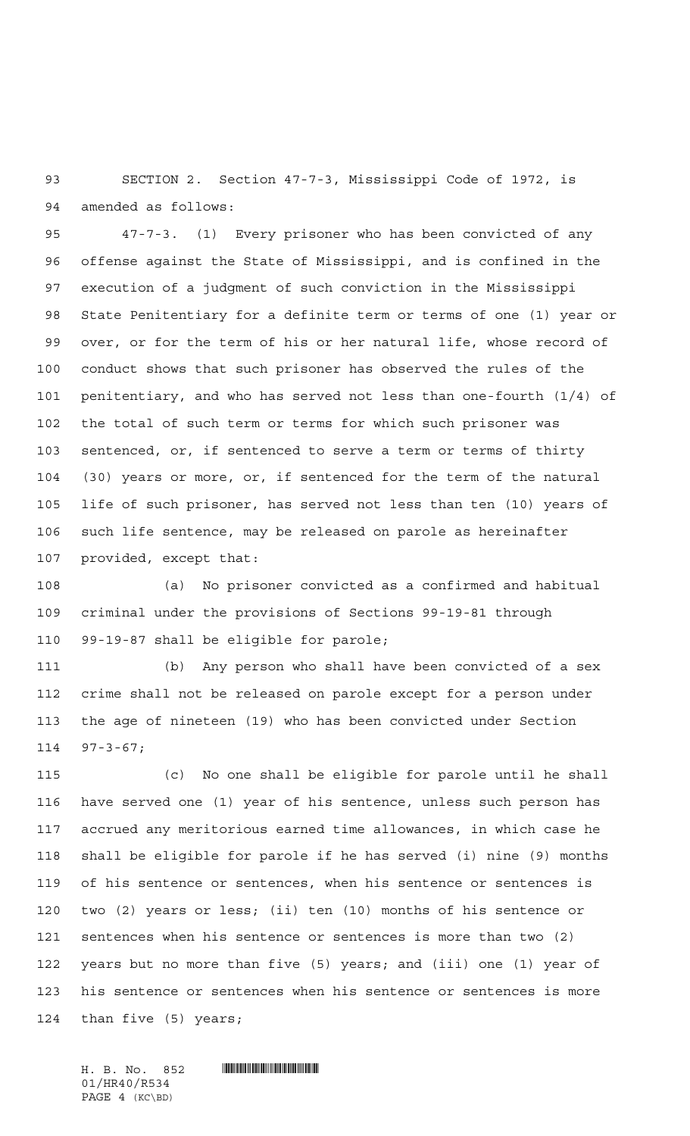SECTION 2. Section 47-7-3, Mississippi Code of 1972, is amended as follows:

 47-7-3. (1) Every prisoner who has been convicted of any offense against the State of Mississippi, and is confined in the execution of a judgment of such conviction in the Mississippi State Penitentiary for a definite term or terms of one (1) year or over, or for the term of his or her natural life, whose record of conduct shows that such prisoner has observed the rules of the penitentiary, and who has served not less than one-fourth (1/4) of the total of such term or terms for which such prisoner was sentenced, or, if sentenced to serve a term or terms of thirty (30) years or more, or, if sentenced for the term of the natural life of such prisoner, has served not less than ten (10) years of such life sentence, may be released on parole as hereinafter provided, except that:

 (a) No prisoner convicted as a confirmed and habitual criminal under the provisions of Sections 99-19-81 through 99-19-87 shall be eligible for parole;

 (b) Any person who shall have been convicted of a sex crime shall not be released on parole except for a person under the age of nineteen (19) who has been convicted under Section 97-3-67;

 (c) No one shall be eligible for parole until he shall have served one (1) year of his sentence, unless such person has accrued any meritorious earned time allowances, in which case he shall be eligible for parole if he has served (i) nine (9) months of his sentence or sentences, when his sentence or sentences is two (2) years or less; (ii) ten (10) months of his sentence or sentences when his sentence or sentences is more than two (2) years but no more than five (5) years; and (iii) one (1) year of his sentence or sentences when his sentence or sentences is more than five (5) years;

 $H. B. No. 852$  . HIRAO HALLANDIN MILLET IN THE SET OF SET OF SET OF SET OF SET OF SET OF SET OF SET OF SET OF SET OF SET OF SET OF SET OF SET OF SET OF SET OF SET OF SET OF SET OF SET OF SET OF SET OF SET OF SET OF SET OF S 01/HR40/R534 PAGE 4 (KC\BD)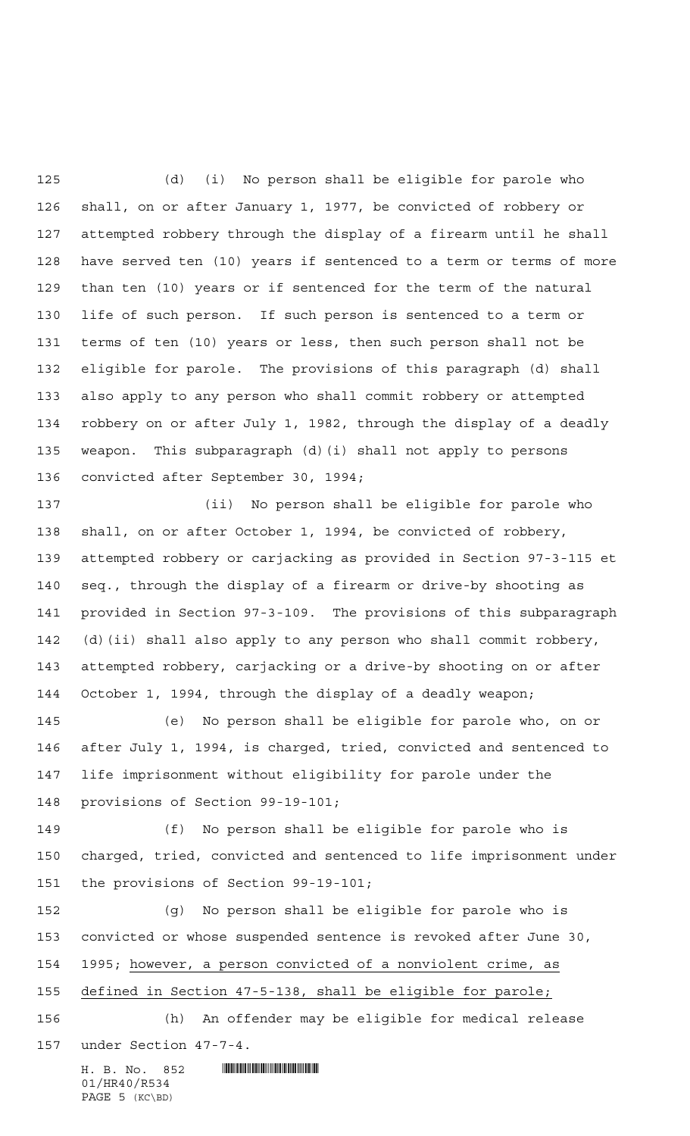(d) (i) No person shall be eligible for parole who shall, on or after January 1, 1977, be convicted of robbery or attempted robbery through the display of a firearm until he shall have served ten (10) years if sentenced to a term or terms of more than ten (10) years or if sentenced for the term of the natural life of such person. If such person is sentenced to a term or terms of ten (10) years or less, then such person shall not be eligible for parole. The provisions of this paragraph (d) shall also apply to any person who shall commit robbery or attempted robbery on or after July 1, 1982, through the display of a deadly weapon. This subparagraph (d)(i) shall not apply to persons convicted after September 30, 1994;

 (ii) No person shall be eligible for parole who shall, on or after October 1, 1994, be convicted of robbery, attempted robbery or carjacking as provided in Section 97-3-115 et seq., through the display of a firearm or drive-by shooting as provided in Section 97-3-109. The provisions of this subparagraph (d)(ii) shall also apply to any person who shall commit robbery, attempted robbery, carjacking or a drive-by shooting on or after October 1, 1994, through the display of a deadly weapon;

 (e) No person shall be eligible for parole who, on or after July 1, 1994, is charged, tried, convicted and sentenced to life imprisonment without eligibility for parole under the provisions of Section 99-19-101;

 (f) No person shall be eligible for parole who is charged, tried, convicted and sentenced to life imprisonment under the provisions of Section 99-19-101;

 (g) No person shall be eligible for parole who is convicted or whose suspended sentence is revoked after June 30, 1995; however, a person convicted of a nonviolent crime, as defined in Section 47-5-138, shall be eligible for parole;

 (h) An offender may be eligible for medical release under Section 47-7-4.

H. B. No. 852 **HIRAO BERGARD BERGARD BERGAS AND START BERGEVERE** 01/HR40/R534 PAGE 5 (KC\BD)